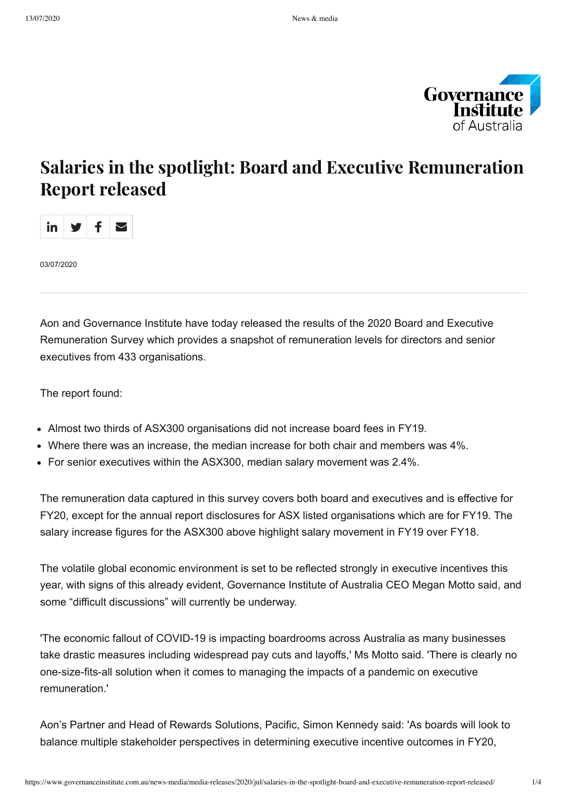

# Salaries in the spotlight: Board and Executive Remuneration Report released



03/07/2020

Aon and Governance Institute have today released the results of the 2020 Board and Executive Remuneration Survey which provides a snapshot of remuneration levels for directors and senior executives from 433 organisations.

The report found:

- Almost two thirds of ASX300 organisations did not increase board fees in FY19.
- Where there was an increase, the median increase for both chair and members was 4%.
- For senior executives within the ASX300, median salary movement was 2.4%.

The remuneration data captured in this survey covers both board and executives and is effective for FY20, except for the annual report disclosures for ASX listed organisations which are for FY19. The salary increase figures for the ASX300 above highlight salary movement in FY19 over FY18.

The volatile global economic environment is set to be reflected strongly in executive incentives this year, with signs of this already evident, Governance Institute of Australia CEO Megan Motto said, and some "difficult discussions" will currently be underway.

'The economic fallout of COVID-19 is impacting boardrooms across Australia as many businesses take drastic measures including widespread pay cuts and layoffs,' Ms Motto said. 'There is clearly no one-size-fits-all solution when it comes to managing the impacts of a pandemic on executive remuneration.'

Aon's Partner and Head of Rewards Solutions, Pacific, Simon Kennedy said: 'As boards will look to balance multiple stakeholder perspectives in determining executive incentive outcomes in FY20,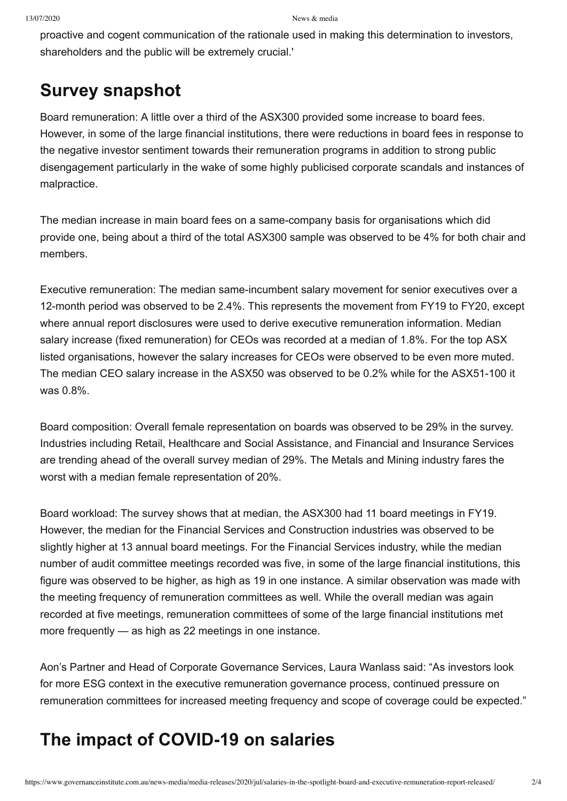proactive and cogent communication of the rationale used in making this determination to investors, shareholders and the public will be extremely crucial.'

### **Survey snapshot**

Board remuneration: A little over a third of the ASX300 provided some increase to board fees. However, in some of the large financial institutions, there were reductions in board fees in response to the negative investor sentiment towards their remuneration programs in addition to strong public disengagement particularly in the wake of some highly publicised corporate scandals and instances of malpractice.

The median increase in main board fees on a same-company basis for organisations which did provide one, being about a third of the total ASX300 sample was observed to be 4% for both chair and members.

Executive remuneration: The median same-incumbent salary movement for senior executives over a 12-month period was observed to be 2.4%. This represents the movement from FY19 to FY20, except where annual report disclosures were used to derive executive remuneration information. Median salary increase (fixed remuneration) for CEOs was recorded at a median of 1.8%. For the top ASX listed organisations, however the salary increases for CEOs were observed to be even more muted. The median CEO salary increase in the ASX50 was observed to be 0.2% while for the ASX51-100 it was 0.8%.

Board composition: Overall female representation on boards was observed to be 29% in the survey. Industries including Retail, Healthcare and Social Assistance, and Financial and Insurance Services are trending ahead of the overall survey median of 29%. The Metals and Mining industry fares the worst with a median female representation of 20%.

Board workload: The survey shows that at median, the ASX300 had 11 board meetings in FY19. However, the median for the Financial Services and Construction industries was observed to be slightly higher at 13 annual board meetings. For the Financial Services industry, while the median number of audit committee meetings recorded was five, in some of the large financial institutions, this figure was observed to be higher, as high as 19 in one instance. A similar observation was made with the meeting frequency of remuneration committees as well. While the overall median was again recorded at five meetings, remuneration committees of some of the large financial institutions met more frequently — as high as 22 meetings in one instance.

Aon's Partner and Head of Corporate Governance Services, Laura Wanlass said: "As investors look for more ESG context in the executive remuneration governance process, continued pressure on remuneration committees for increased meeting frequency and scope of coverage could be expected."

# **The impact of COVID-19 on salaries**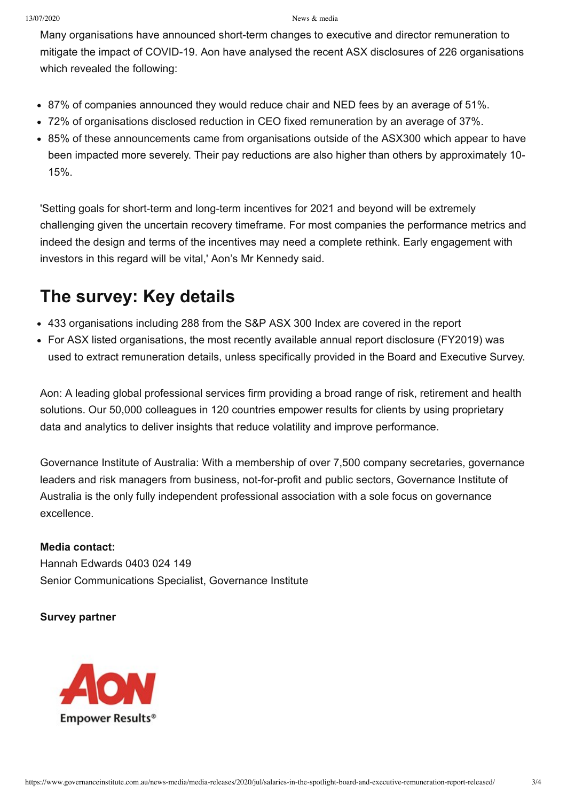#### 13/07/2020 News & media

Many organisations have announced short-term changes to executive and director remuneration to mitigate the impact of COVID-19. Aon have analysed the recent ASX disclosures of 226 organisations which revealed the following:

- 87% of companies announced they would reduce chair and NED fees by an average of 51%.
- 72% of organisations disclosed reduction in CEO fixed remuneration by an average of 37%.
- 85% of these announcements came from organisations outside of the ASX300 which appear to have been impacted more severely. Their pay reductions are also higher than others by approximately 10- 15%.

'Setting goals for short-term and long-term incentives for 2021 and beyond will be extremely challenging given the uncertain recovery timeframe. For most companies the performance metrics and indeed the design and terms of the incentives may need a complete rethink. Early engagement with investors in this regard will be vital,' Aon's Mr Kennedy said.

### **The survey: Key details**

- 433 organisations including 288 from the S&P ASX 300 Index are covered in the report
- For ASX listed organisations, the most recently available annual report disclosure (FY2019) was used to extract remuneration details, unless specifically provided in the Board and Executive Survey.

Aon: A leading global professional services firm providing a broad range of risk, retirement and health solutions. Our 50,000 colleagues in 120 countries empower results for clients by using proprietary data and analytics to deliver insights that reduce volatility and improve performance.

Governance Institute of Australia: With a membership of over 7,500 company secretaries, governance leaders and risk managers from business, not-for-profit and public sectors, Governance Institute of Australia is the only fully independent professional association with a sole focus on governance excellence.

#### **Media contact:**

Hannah Edwards 0403 024 149 Senior Communications Specialist, Governance Institute

#### **Survey partner**